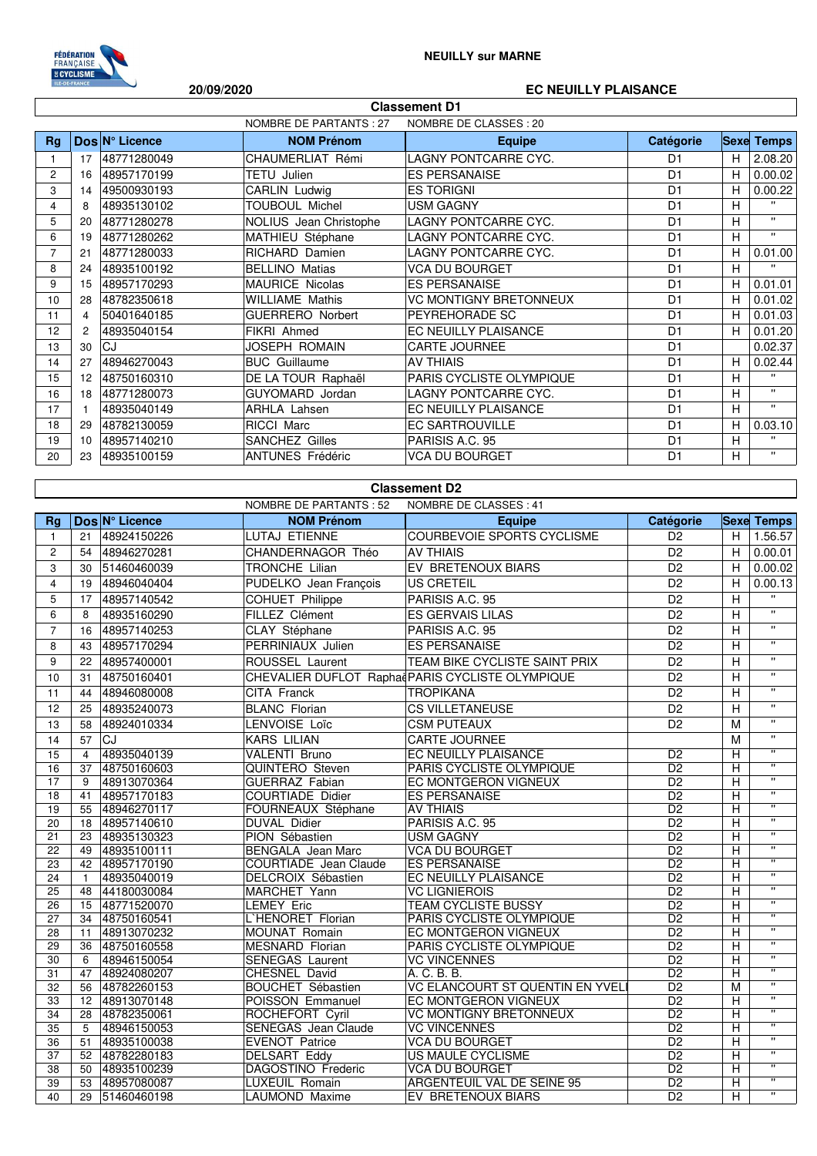

## **20/09/2020 EC NEUILLY PLAISANCE**

| <b>Classement D1</b> |                                                         |                  |                         |                               |                |   |                   |  |
|----------------------|---------------------------------------------------------|------------------|-------------------------|-------------------------------|----------------|---|-------------------|--|
|                      | <b>NOMBRE DE PARTANTS: 27</b><br>NOMBRE DE CLASSES : 20 |                  |                         |                               |                |   |                   |  |
| <b>Rg</b>            |                                                         | $Dos N°$ Licence | <b>NOM Prénom</b>       | <b>Equipe</b>                 | Catégorie      |   | <b>Sexe Temps</b> |  |
|                      | 17                                                      | 48771280049      | CHAUMERLIAT Rémi        | LAGNY PONTCARRE CYC.          | D <sub>1</sub> | Н | 2.08.20           |  |
| $\overline{c}$       | 16                                                      | 48957170199      | <b>TETU Julien</b>      | <b>ES PERSANAISE</b>          | D <sub>1</sub> | H | 0.00.02           |  |
| 3                    | 14                                                      | 49500930193      | CARLIN Ludwig           | <b>ES TORIGNI</b>             | D <sub>1</sub> | H | 0.00.22           |  |
| 4                    | 8                                                       | 48935130102      | <b>TOUBOUL Michel</b>   | <b>USM GAGNY</b>              | D <sub>1</sub> | н | $\mathbf{H}$      |  |
| 5                    | 20                                                      | 48771280278      | NOLIUS Jean Christophe  | LAGNY PONTCARRE CYC.          | D <sub>1</sub> | н | $\mathbf{H}$      |  |
| 6                    | 19                                                      | 48771280262      | MATHIEU Stéphane        | <b>LAGNY PONTCARRE CYC.</b>   | D <sub>1</sub> | H | $\mathbf{H}$      |  |
| $\overline{7}$       | 21                                                      | 48771280033      | RICHARD Damien          | LAGNY PONTCARRE CYC.          | D <sub>1</sub> | Н | 0.01.00           |  |
| 8                    | 24                                                      | 48935100192      | <b>BELLINO Matias</b>   | <b>VCA DU BOURGET</b>         | D <sub>1</sub> | H | $\mathbf{H}$      |  |
| 9                    | 15                                                      | 48957170293      | <b>MAURICE Nicolas</b>  | <b>ES PERSANAISE</b>          | D <sub>1</sub> | H | 0.01.01           |  |
| 10                   | 28                                                      | 48782350618      | <b>WILLIAME Mathis</b>  | <b>VC MONTIGNY BRETONNEUX</b> | D <sub>1</sub> | H | 0.01.02           |  |
| 11                   | $\overline{4}$                                          | 50401640185      | <b>GUERRERO Norbert</b> | PEYREHORADE SC                | D <sub>1</sub> | H | 0.01.03           |  |
| 12                   | 2                                                       | 48935040154      | FIKRI Ahmed             | EC NEUILLY PLAISANCE          | D <sub>1</sub> | H | 0.01.20           |  |
| 13                   | 30                                                      | CJ               | JOSEPH ROMAIN           | <b>CARTE JOURNEE</b>          | D <sub>1</sub> |   | 0.02.37           |  |
| 14                   | 27                                                      | 48946270043      | <b>BUC</b> Guillaume    | <b>AV THIAIS</b>              | D <sub>1</sub> | Н | 0.02.44           |  |
| 15                   | $12 \overline{ }$                                       | 48750160310      | DE LA TOUR Raphaël      | PARIS CYCLISTE OLYMPIQUE      | D <sub>1</sub> | H | $\mathbf{H}$      |  |
| 16                   | 18                                                      | 48771280073      | GUYOMARD Jordan         | LAGNY PONTCARRE CYC.          | D <sub>1</sub> | н | $\mathbf{H}$      |  |
| 17                   |                                                         | 48935040149      | <b>ARHLA Lahsen</b>     | <b>EC NEUILLY PLAISANCE</b>   | D <sub>1</sub> | H | $\mathbf{H}$      |  |
| 18                   | 29                                                      | 48782130059      | RICCI Marc              | EC SARTROUVILLE               | D <sub>1</sub> | Н | 0.03.10           |  |
| 19                   | 10                                                      | 48957140210      | <b>SANCHEZ Gilles</b>   | PARISIS A.C. 95               | D <sub>1</sub> | н | π.                |  |
| 20                   | 23                                                      | 48935100159      | <b>ANTUNES Frédéric</b> | <b>VCA DU BOURGET</b>         | D <sub>1</sub> | н | $\mathbf{H}$      |  |

## **Classement D2**

| Dos N° Licence<br><b>NOM Prénom</b><br><b>Equipe</b><br>Catégorie<br>Rg<br><b>COURBEVOIE SPORTS CYCLISME</b><br>48924150226<br><b>LUTAJ ETIENNE</b><br>D <sub>2</sub><br>21<br>$\mathbf{1}$<br><b>AV THIAIS</b><br>$\overline{D2}$<br>CHANDERNAGOR Théo<br>$\overline{c}$<br>48946270281<br>54<br>D <sub>2</sub><br>3<br>TRONCHE Lilian<br>EV BRETENOUX BIARS<br>30<br>51460460039 | H<br>H<br>H.<br>H<br>H<br>H<br>н | <b>Sexe Temps</b><br>1.56.57<br>0.00.01<br>0.00.02<br>0.00.13<br>$\mathbf{u}$<br>$\overline{\mathbf{u}}$ |
|------------------------------------------------------------------------------------------------------------------------------------------------------------------------------------------------------------------------------------------------------------------------------------------------------------------------------------------------------------------------------------|----------------------------------|----------------------------------------------------------------------------------------------------------|
|                                                                                                                                                                                                                                                                                                                                                                                    |                                  |                                                                                                          |
|                                                                                                                                                                                                                                                                                                                                                                                    |                                  |                                                                                                          |
|                                                                                                                                                                                                                                                                                                                                                                                    |                                  |                                                                                                          |
|                                                                                                                                                                                                                                                                                                                                                                                    |                                  |                                                                                                          |
| 4<br><b>US CRETEIL</b><br>D <sub>2</sub><br>19<br>48946040404<br>PUDELKO Jean François                                                                                                                                                                                                                                                                                             |                                  |                                                                                                          |
| 5<br>48957140542<br>COHUET Philippe<br>PARISIS A.C. 95<br>D <sub>2</sub><br>17                                                                                                                                                                                                                                                                                                     |                                  |                                                                                                          |
| 6<br>ES GERVAIS LILAS<br>D <sub>2</sub><br>8<br>48935160290<br>FILLEZ Clément                                                                                                                                                                                                                                                                                                      |                                  |                                                                                                          |
| $\overline{7}$<br>CLAY Stéphane<br>PARISIS A.C. 95<br>48957140253<br>D <sub>2</sub><br>16                                                                                                                                                                                                                                                                                          |                                  | $\mathbf{u}$                                                                                             |
| 48957170294<br>PERRINIAUX Julien<br><b>ES PERSANAISE</b><br>D <sub>2</sub><br>8<br>43                                                                                                                                                                                                                                                                                              | н                                | $\mathbf{u}$                                                                                             |
| ROUSSEL Laurent<br>TEAM BIKE CYCLISTE SAINT PRIX<br>D <sub>2</sub><br>48957400001<br>9<br>22                                                                                                                                                                                                                                                                                       | н                                | $\mathbf{u}$                                                                                             |
| 48750160401<br>CHEVALIER DUFLOT Raphae PARIS CYCLISTE OLYMPIQUE<br>D <sub>2</sub><br>10<br>31                                                                                                                                                                                                                                                                                      | Η                                | $\mathbf{u}$                                                                                             |
| $\overline{D2}$<br>CITA Franck<br><b>TROPIKANA</b><br>11<br>44<br>48946080008                                                                                                                                                                                                                                                                                                      | H                                | $\mathbf{u}$                                                                                             |
| <b>BLANC Florian</b><br>D <sub>2</sub><br>48935240073<br><b>CS VILLETANEUSE</b><br>12<br>25                                                                                                                                                                                                                                                                                        | H                                | $\mathbf{u}$                                                                                             |
| LENVOISE Loïc<br>D <sub>2</sub><br>13<br>58                                                                                                                                                                                                                                                                                                                                        |                                  | $\mathbf{u}$                                                                                             |
| 48924010334<br><b>CSM PUTEAUX</b>                                                                                                                                                                                                                                                                                                                                                  | M                                | $\mathbf{u}$                                                                                             |
| 57<br>CJ<br><b>KARS LILIAN</b><br>CARTE JOURNEE<br>14                                                                                                                                                                                                                                                                                                                              | M                                | π                                                                                                        |
| 15<br>48935040139<br><b>VALENTI Bruno</b><br>EC NEUILLY PLAISANCE<br>D <sub>2</sub><br>$\overline{4}$                                                                                                                                                                                                                                                                              | H                                | $\overline{\mathbf{u}}$                                                                                  |
| 48750160603<br>QUINTERO Steven<br>PARIS CYCLISTE OLYMPIQUE<br>$\overline{D2}$<br>16<br>37                                                                                                                                                                                                                                                                                          | н                                | π                                                                                                        |
| D <sub>2</sub><br><b>GUERRAZ Fabian</b><br>17<br>9<br>48913070364<br>EC MONTGERON VIGNEUX                                                                                                                                                                                                                                                                                          | H                                | $\overline{\mathbf{u}}$                                                                                  |
| 48957170183<br><b>COURTIADE Didier</b><br><b>ES PERSANAISE</b><br>$\overline{D2}$<br>18<br>41                                                                                                                                                                                                                                                                                      | Н                                |                                                                                                          |
| <b>AV THIAIS</b><br>19<br>55<br>48946270117<br>FOURNEAUX Stéphane<br>D <sub>2</sub>                                                                                                                                                                                                                                                                                                | H                                | π                                                                                                        |
| PARISIS A.C. 95<br>D <sub>2</sub><br>48957140610<br><b>DUVAL Didier</b><br>20<br>18                                                                                                                                                                                                                                                                                                | Η                                | π                                                                                                        |
| $\overline{D2}$<br>$\overline{21}$<br>23<br>PION Sébastien<br>48935130323<br><b>USM GAGNY</b>                                                                                                                                                                                                                                                                                      | H                                | $\overline{\mathbf{u}}$                                                                                  |
| <b>VCA DU BOURGET</b><br>22<br>49<br>48935100111<br><b>BENGALA</b> Jean Marc<br>D <sub>2</sub>                                                                                                                                                                                                                                                                                     | H                                | π                                                                                                        |
| 48957170190<br>COURTIADE Jean Claude<br><b>ES PERSANAISE</b><br>D <sub>2</sub><br>23<br>42                                                                                                                                                                                                                                                                                         | Η                                | $\overline{\mathbf{u}}$                                                                                  |
| D <sub>2</sub><br>48935040019<br>DELCROIX Sébastien<br>EC NEUILLY PLAISANCE<br>24<br>$\mathbf{1}$                                                                                                                                                                                                                                                                                  | Η                                | π                                                                                                        |
| <b>VC LIGNIEROIS</b><br>$\overline{D2}$<br>44180030084<br>MARCHET Yann<br>25<br>48                                                                                                                                                                                                                                                                                                 | H                                | $\overline{\mathbf{u}}$                                                                                  |
| <b>TEAM CYCLISTE BUSSY</b><br>26<br>48771520070<br><b>LEMEY Eric</b><br>D <sub>2</sub><br>15                                                                                                                                                                                                                                                                                       | H                                | $\mathbf{H}$                                                                                             |
| $\overline{D2}$<br>L'HENORET Florian<br>27<br>34<br>48750160541<br>PARIS CYCLISTE OLYMPIQUE                                                                                                                                                                                                                                                                                        | H                                | $\overline{\mathbf{u}}$                                                                                  |
| 48913070232<br>EC MONTGERON VIGNEUX<br>$\overline{D2}$<br>28<br><b>MOUNAT Romain</b><br>11                                                                                                                                                                                                                                                                                         | Н                                | $\overline{\mathbf{u}}$                                                                                  |
| 29<br>36<br>48750160558<br><b>MESNARD Florian</b><br>PARIS CYCLISTE OLYMPIQUE<br>D <sub>2</sub>                                                                                                                                                                                                                                                                                    | H                                | π                                                                                                        |
| D <sub>2</sub><br>48946150054<br><b>SENEGAS Laurent</b><br><b>VC VINCENNES</b><br>30<br>6                                                                                                                                                                                                                                                                                          | $\overline{H}$                   | $\overline{\mathbf{u}}$                                                                                  |
| <b>CHESNEL David</b><br>$\overline{D2}$<br>A. C. B. B.<br>31<br>47<br>48924080207                                                                                                                                                                                                                                                                                                  | H                                | π                                                                                                        |
| VC ELANCOURT ST QUENTIN EN YVEL<br>32<br>48782260153<br>$\overline{D2}$<br>56<br>BOUCHET Sébastien                                                                                                                                                                                                                                                                                 | М                                | $\overline{\mathbf{u}}$                                                                                  |
| 33<br>EC MONTGERON VIGNEUX<br>D <sub>2</sub><br>12<br>48913070148<br>POISSON Emmanuel                                                                                                                                                                                                                                                                                              | H                                | $\mathbf{H}$                                                                                             |
| $\overline{D2}$<br>48782350061<br>ROCHEFORT Cyril<br><b>VC MONTIGNY BRETONNEUX</b><br>34<br>28                                                                                                                                                                                                                                                                                     | н                                | π                                                                                                        |
| 35<br>$\overline{5}$<br>48946150053<br><b>SENEGAS</b> Jean Claude<br><b>VC VINCENNES</b><br>$\overline{D2}$                                                                                                                                                                                                                                                                        | Н                                | $\overline{\mathbf{u}}$                                                                                  |
| D2<br>36<br><b>EVENOT Patrice</b><br><b>VCA DU BOURGET</b><br>51<br>48935100038                                                                                                                                                                                                                                                                                                    | H                                | π                                                                                                        |
| <b>US MAULE CYCLISME</b><br>D <sub>2</sub><br>52<br>48782280183<br><b>DELSART Eddy</b><br>37                                                                                                                                                                                                                                                                                       | Н                                | π                                                                                                        |
| 38<br>48935100239<br>DAGOSTINO Frederic<br><b>VCA DU BOURGET</b><br>D <sub>2</sub><br>50                                                                                                                                                                                                                                                                                           | H                                | $\overline{w}$                                                                                           |
| D <sub>2</sub><br>39<br>53<br>48957080087<br>LUXEUIL Romain<br>ARGENTEUIL VAL DE SEINE 95                                                                                                                                                                                                                                                                                          | H                                | $\overline{\mathbf{u}}$                                                                                  |
| 40<br>D <sub>2</sub><br>29<br>51460460198<br>LAUMOND Maxime<br>EV BRETENOUX BIARS                                                                                                                                                                                                                                                                                                  | Н                                | $\pmb{\mathsf{H}}$                                                                                       |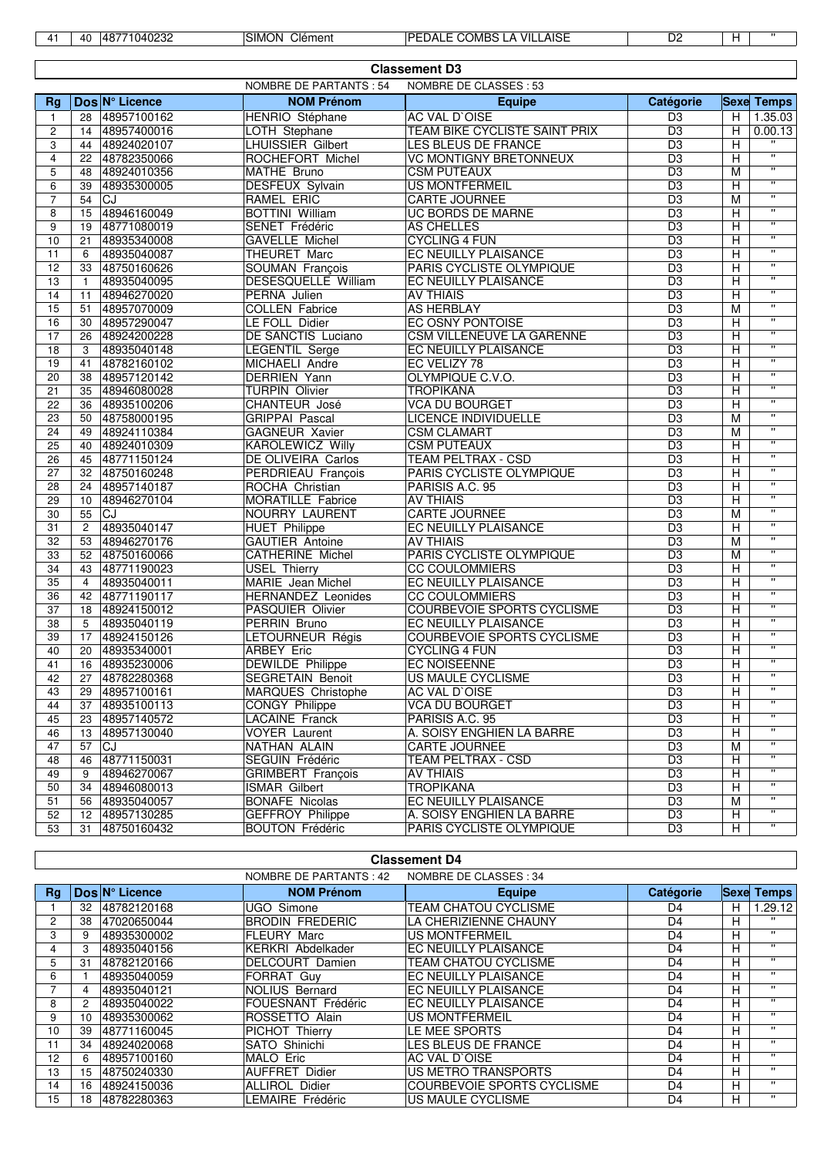| щ. | AI. | 71040232<br>AB<br>≖∪ | Clément<br>۔ MONانہ | VIL<br>AISE<br><b>COMBS</b><br>DED.<br>≟DALF<br>А | D <sub>2</sub> |  |  |
|----|-----|----------------------|---------------------|---------------------------------------------------|----------------|--|--|
|----|-----|----------------------|---------------------|---------------------------------------------------|----------------|--|--|

|                         | <b>Classement D3</b> |                |                               |                                      |                 |                |                         |  |  |
|-------------------------|----------------------|----------------|-------------------------------|--------------------------------------|-----------------|----------------|-------------------------|--|--|
|                         |                      |                | <b>NOMBRE DE PARTANTS: 54</b> | NOMBRE DE CLASSES : 53               |                 |                |                         |  |  |
| Rg                      |                      | Dos N° Licence | <b>NOM Prénom</b>             | <b>Equipe</b>                        | Catégorie       |                | <b>Sexe Temps</b>       |  |  |
| $\mathbf{1}$            | 28                   | 48957100162    | HENRIO Stéphane               | <b>AC VAL D'OISE</b>                 | D <sub>3</sub>  | H              | 1.35.03                 |  |  |
| $\overline{\mathbf{c}}$ | 14                   | 48957400016    | <b>LOTH Stephane</b>          | <b>TEAM BIKE CYCLISTE SAINT PRIX</b> | D <sub>3</sub>  | Н              | 0.00.13                 |  |  |
| 3                       | 44                   | 48924020107    | <b>LHUISSIER Gilbert</b>      | LES BLEUS DE FRANCE                  | $\overline{D3}$ | H              |                         |  |  |
| $\overline{4}$          | 22                   | 48782350066    | ROCHEFORT Michel              | <b>VC MONTIGNY BRETONNEUX</b>        | $\overline{D3}$ | H              | π                       |  |  |
| 5                       | 48                   | 48924010356    | MATHE Bruno                   | <b>CSM PUTEAUX</b>                   | D <sub>3</sub>  | M              | $\pmb{\mathsf{H}}$      |  |  |
| 6                       | 39                   | 48935300005    | <b>DESFEUX Sylvain</b>        | <b>US MONTFERMEIL</b>                | $\overline{D3}$ | н              | π                       |  |  |
| $\overline{7}$          | 54                   | CJ             | RAMEL ERIC                    | <b>CARTE JOURNEE</b>                 | D <sub>3</sub>  | M              | $\mathbf{H}$            |  |  |
| 8                       | 15                   | 48946160049    | <b>BOTTINI William</b>        | <b>UC BORDS DE MARNE</b>             | D <sub>3</sub>  | Н              | $\mathbf{H}$            |  |  |
| 9                       | 19                   | 48771080019    | SENET Frédéric                | <b>AS CHELLES</b>                    | D <sub>3</sub>  | н              | π                       |  |  |
| 10                      | 21                   | 48935340008    | <b>GAVELLE Michel</b>         | <b>CYCLING 4 FUN</b>                 | D <sub>3</sub>  | н              | $\mathbf{H}$            |  |  |
| 11                      | 6                    | 48935040087    | THEURET Marc                  | <b>EC NEUILLY PLAISANCE</b>          | D <sub>3</sub>  | Н              | π                       |  |  |
| 12                      | 33                   | 48750160626    | SOUMAN François               | PARIS CYCLISTE OLYMPIQUE             | D <sub>3</sub>  | Η              | $\mathbf{H}$            |  |  |
| 13                      | $\mathbf{1}$         | 48935040095    | DESESQUELLE William           | <b>EC NEUILLY PLAISANCE</b>          | D <sub>3</sub>  | Н              | $\mathbf{H}$            |  |  |
| 14                      | 11                   | 48946270020    | PERNA Julien                  | <b>AV THIAIS</b>                     | D <sub>3</sub>  | Н              | $\mathbf{H}$            |  |  |
| 15                      | 51                   | 48957070009    | <b>COLLEN Fabrice</b>         | <b>AS HERBLAY</b>                    | D <sub>3</sub>  | M              | $\mathbf{H}$            |  |  |
| 16                      | 30                   | 48957290047    | LE FOLL Didier                | <b>EC OSNY PONTOISE</b>              | $\overline{D3}$ | Н              | $\mathbf{H}$            |  |  |
| 17                      | 26                   | 48924200228    | <b>DE SANCTIS Luciano</b>     | CSM VILLENEUVE LA GARENNE            | D <sub>3</sub>  | Н              | $\mathbf{H}$            |  |  |
| 18                      | 3                    | 48935040148    | <b>LEGENTIL Serge</b>         | EC NEUILLY PLAISANCE                 | D <sub>3</sub>  | Н              | π                       |  |  |
| 19                      | 41                   | 48782160102    | MICHAELI Andre                | EC VELIZY 78                         | $\overline{D3}$ | н              | $\pmb{\mathsf{H}}$      |  |  |
| 20                      | 38                   | 48957120142    | <b>DERRIEN Yann</b>           | OLYMPIQUE C.V.O.                     | D <sub>3</sub>  | н              | π                       |  |  |
| 21                      | 35                   | 48946080028    | <b>TURPIN Olivier</b>         | <b>TROPIKANA</b>                     | D <sub>3</sub>  | Н              | $\mathbf{H}$            |  |  |
| 22                      | 36                   | 48935100206    | CHANTEUR José                 | <b>VCA DU BOURGET</b>                | D <sub>3</sub>  | Н              | π                       |  |  |
| 23                      | 50                   | 48758000195    | <b>GRIPPAI Pascal</b>         | <b>LICENCE INDIVIDUELLE</b>          | D <sub>3</sub>  | M              | π                       |  |  |
| 24                      | 49                   | 48924110384    | <b>GAGNEUR Xavier</b>         | <b>CSM CLAMART</b>                   | D <sub>3</sub>  | M              | $\mathbf{H}$            |  |  |
| 25                      | 40                   | 48924010309    | <b>KAROLEWICZ Willy</b>       | <b>CSM PUTEAUX</b>                   | D <sub>3</sub>  | н              | π                       |  |  |
| 26                      | 45                   | 48771150124    | DE OLIVEIRA Carlos            | <b>TEAM PELTRAX - CSD</b>            | D <sub>3</sub>  | Н              | $\mathbf{H}$            |  |  |
| 27                      | 32                   | 48750160248    | PERDRIEAU François            | PARIS CYCLISTE OLYMPIQUE             | D <sub>3</sub>  | Н              | $\mathbf{H}$            |  |  |
| 28                      | 24                   | 48957140187    | ROCHA Christian               | PARISIS A.C. 95                      | D <sub>3</sub>  | Н              | $\mathbf{H}$            |  |  |
| 29                      | 10 <sup>10</sup>     | 48946270104    | <b>MORATILLE Fabrice</b>      | <b>AV THIAIS</b>                     | $\overline{D3}$ | н              | π                       |  |  |
| 30                      | 55                   | <b>CJ</b>      | NOURRY LAURENT                | <b>CARTE JOURNEE</b>                 | D <sub>3</sub>  | M              | $\mathbf{H}$            |  |  |
| 31                      | $\overline{2}$       | 48935040147    | <b>HUET Philippe</b>          | EC NEUILLY PLAISANCE                 | D <sub>3</sub>  | н              | π                       |  |  |
| 32                      | 53                   | 48946270176    | <b>GAUTIER Antoine</b>        | <b>AV THIAIS</b>                     | $\overline{D3}$ | M              | π                       |  |  |
| 33                      | 52                   | 48750160066    | <b>CATHERINE Michel</b>       | PARIS CYCLISTE OLYMPIQUE             | $\overline{D3}$ | M              | $\mathbf{H}$            |  |  |
| 34                      | 43                   | 48771190023    | <b>USEL Thierry</b>           | <b>CC COULOMMIERS</b>                | $\overline{D3}$ | н              | π                       |  |  |
| 35                      | $\overline{4}$       | 48935040011    | <b>MARIE</b> Jean Michel      | EC NEUILLY PLAISANCE                 | D <sub>3</sub>  | н              | $\pmb{\mathsf{H}}$      |  |  |
| 36                      | 42                   | 48771190117    | <b>HERNANDEZ Leonides</b>     | <b>CC COULOMMIERS</b>                | $\overline{D3}$ | Н              | π                       |  |  |
| 37                      | 18                   | 48924150012    | <b>PASQUIER Olivier</b>       | <b>COURBEVOIE SPORTS CYCLISME</b>    | $\overline{D3}$ | Η              | π                       |  |  |
| 38                      | 5                    |                |                               | EC NEUILLY PLAISANCE                 | D <sub>3</sub>  | н              | $\pmb{\mathsf{H}}$      |  |  |
| 39                      | 17                   | 48935040119    | PERRIN Bruno                  |                                      | D <sub>3</sub>  |                | $\overline{\mathbf{u}}$ |  |  |
|                         |                      | 48924150126    | LETOURNEUR Régis              | <b>COURBEVOIE SPORTS CYCLISME</b>    |                 | Н              | π                       |  |  |
| 40                      | 20                   | 48935340001    | <b>ARBEY Eric</b>             | <b>CYCLING 4 FUN</b>                 | D <sub>3</sub>  | н              | $\mathbf{H}$            |  |  |
| 41                      | 16                   | 48935230006    | <b>DEWILDE</b> Philippe       | <b>EC NOISEENNE</b>                  | D <sub>3</sub>  | н              | $\mathbf{H}$            |  |  |
| 42                      |                      | 27 48782280368 | SEGRETAIN Benoit              | <b>US MAULE CYCLISME</b>             | D <sub>3</sub>  | $\overline{H}$ | $\pmb{\mathsf{H}}$      |  |  |
| 43                      |                      | 29 48957100161 | <b>MARQUES Christophe</b>     | <b>AC VAL D'OISE</b>                 | D <sub>3</sub>  | Н              |                         |  |  |
| 44                      | 37                   | 48935100113    | CONGY Philippe                | <b>VCA DU BOURGET</b>                | D <sub>3</sub>  | н              | Π.                      |  |  |
| 45                      | 23                   | 48957140572    | <b>LACAINE Franck</b>         | PARISIS A.C. 95                      | $\overline{D3}$ | H              |                         |  |  |
| 46                      | 13                   | 48957130040    | <b>VOYER Laurent</b>          | A. SOISY ENGHIEN LA BARRE            | D <sub>3</sub>  | Н              |                         |  |  |
| 47                      | 57                   | <b>CJ</b>      | NATHAN ALAIN                  | <b>CARTE JOURNEE</b>                 | D <sub>3</sub>  | M              |                         |  |  |
| 48                      | 46                   | 48771150031    | SEGUIN Frédéric               | TEAM PELTRAX - CSD                   | D <sub>3</sub>  | Н              | $\mathbf{H}$            |  |  |
| 49                      | 9                    | 48946270067    | <b>GRIMBERT</b> François      | <b>AV THIAIS</b>                     | D <sub>3</sub>  | н              |                         |  |  |
| 50                      | 34                   | 48946080013    | ISMAR Gilbert                 | <b>TROPIKANA</b>                     | D3              | Н              |                         |  |  |
| 51                      | 56                   | 48935040057    | <b>BONAFE Nicolas</b>         | EC NEUILLY PLAISANCE                 | D <sub>3</sub>  | M              | $\mathbf{H}$            |  |  |
| 52                      | 12                   | 48957130285    | <b>GEFFROY Philippe</b>       | A. SOISY ENGHIEN LA BARRE            | D <sub>3</sub>  | н              |                         |  |  |
| 53                      | 31                   | 48750160432    | <b>BOUTON Frédéric</b>        | PARIS CYCLISTE OLYMPIQUE             | D <sub>3</sub>  | н              | Π.                      |  |  |

| <b>Classement D4</b> |                                                  |                 |                        |                             |                |             |              |
|----------------------|--------------------------------------------------|-----------------|------------------------|-----------------------------|----------------|-------------|--------------|
|                      | NOMBRE DE CLASSES: 34<br>NOMBRE DE PARTANTS : 42 |                 |                        |                             |                |             |              |
| <b>Rg</b>            |                                                  | Dos IN° Licence | <b>NOM Prénom</b>      | <b>Equipe</b>               | Catégorie      | <b>Sexe</b> | <b>Temps</b> |
|                      | 32                                               | 48782120168     | UGO Simone             | <b>TEAM CHATOU CYCLISME</b> | D <sub>4</sub> | н           | 1.29.12      |
| 2                    | 38                                               | 47020650044     | <b>BRODIN FREDERIC</b> | LA CHERIZIENNE CHAUNY       | D <sub>4</sub> | н           | $\mathbf{H}$ |
| 3                    | 9                                                | 48935300002     | <b>FLEURY Marc</b>     | <b>US MONTFERMEIL</b>       | D <sub>4</sub> | н           | $\mathbf{H}$ |
| 4                    | 3                                                | 48935040156     | KERKRI Abdelkader      | EC NEUILLY PLAISANCE        | D <sub>4</sub> | н           | $\mathbf{H}$ |
| 5                    | 31                                               | 48782120166     | <b>DELCOURT Damien</b> | <b>TEAM CHATOU CYCLISME</b> | D4             | н           | $\mathbf{H}$ |
| 6                    |                                                  | 48935040059     | <b>FORRAT Guv</b>      | <b>EC NEUILLY PLAISANCE</b> | D4             | н           | $\mathbf{H}$ |
|                      | 4                                                | 48935040121     | <b>NOLIUS Bernard</b>  | <b>EC NEUILLY PLAISANCE</b> | D <sub>4</sub> | н           | π.           |
| 8                    | 2                                                | 48935040022     | FOUESNANT Frédéric     | EC NEUILLY PLAISANCE        | D <sub>4</sub> | н           | π.           |
| 9                    | 10                                               | 48935300062     | ROSSETTO Alain         | <b>US MONTFERMEIL</b>       | D <sub>4</sub> | н           | $\mathbf{H}$ |
| 10                   | 39                                               | 48771160045     | PICHOT Thierry         | LE MEE SPORTS               | D <sub>4</sub> | н           | $\mathbf{H}$ |
| 11                   | 34                                               | 48924020068     | SATO Shinichi          | LES BLEUS DE FRANCE         | D <sub>4</sub> | Н           | $\mathbf{H}$ |
| 12                   | 6                                                | 48957100160     | MALO Eric              | AC VAL D'OISE               | D4             | н           | $\mathbf{H}$ |
| 13                   | 15                                               | 48750240330     | <b>AUFFRET Didier</b>  | US METRO TRANSPORTS         | D <sub>4</sub> | н           | $\mathbf{H}$ |
| 14                   | 16                                               | 48924150036     | <b>ALLIROL Didier</b>  | COURBEVOIE SPORTS CYCLISME  | D <sub>4</sub> | н           | $\mathbf{H}$ |
| 15                   | 18                                               | 48782280363     | LEMAIRE Frédéric       | US MAULE CYCLISME           | D <sub>4</sub> | н           | $\mathbf{H}$ |